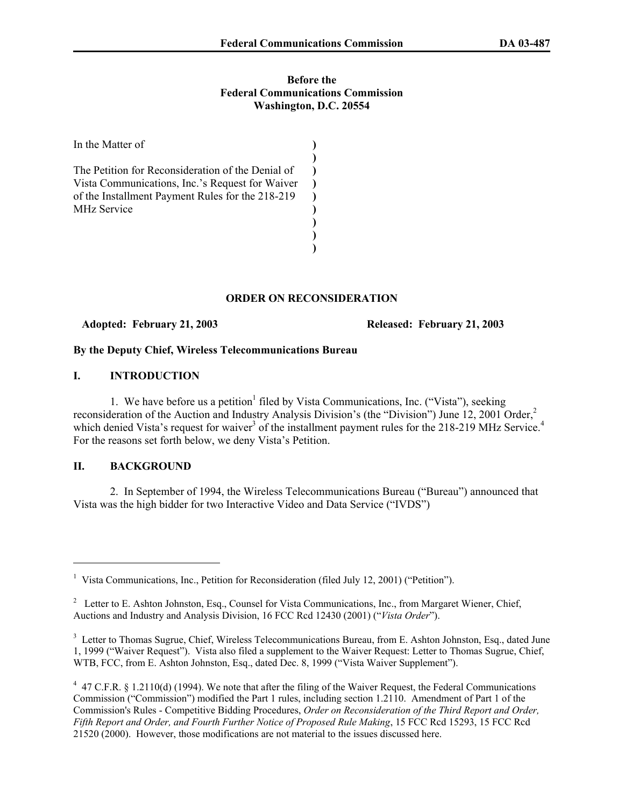### **Before the Federal Communications Commission Washington, D.C. 20554**

| In the Matter of                                                                                                                                                               |  |
|--------------------------------------------------------------------------------------------------------------------------------------------------------------------------------|--|
| The Petition for Reconsideration of the Denial of<br>Vista Communications, Inc.'s Request for Waiver<br>of the Installment Payment Rules for the 218-219<br><b>MHz Service</b> |  |
|                                                                                                                                                                                |  |

# **ORDER ON RECONSIDERATION**

 **Adopted: February 21, 2003 Released: February 21, 2003** 

# **By the Deputy Chief, Wireless Telecommunications Bureau**

# **I. INTRODUCTION**

1. We have before us a petition<sup>1</sup> filed by Vista Communications, Inc. ("Vista"), seeking reconsideration of the Auction and Industry Analysis Division's (the "Division") June 12, 2001 Order,<sup>2</sup> which denied Vista's request for waiver<sup>3</sup> of the installment payment rules for the 218-219 MHz Service.<sup>4</sup> For the reasons set forth below, we deny Vista's Petition.

## **II. BACKGROUND**

 $\overline{a}$ 

2. In September of 1994, the Wireless Telecommunications Bureau ("Bureau") announced that Vista was the high bidder for two Interactive Video and Data Service ("IVDS")

<sup>&</sup>lt;sup>1</sup> Vista Communications, Inc., Petition for Reconsideration (filed July 12, 2001) ("Petition").

<sup>&</sup>lt;sup>2</sup> Letter to E. Ashton Johnston, Esq., Counsel for Vista Communications, Inc., from Margaret Wiener, Chief, Auctions and Industry and Analysis Division, 16 FCC Rcd 12430 (2001) ("*Vista Order*").

<sup>&</sup>lt;sup>3</sup> Letter to Thomas Sugrue, Chief, Wireless Telecommunications Bureau, from E. Ashton Johnston, Esq., dated June 1, 1999 ("Waiver Request"). Vista also filed a supplement to the Waiver Request: Letter to Thomas Sugrue, Chief, WTB, FCC, from E. Ashton Johnston, Esq., dated Dec. 8, 1999 ("Vista Waiver Supplement").

 $4$  47 C.F.R. § 1.2110(d) (1994). We note that after the filing of the Waiver Request, the Federal Communications Commission ("Commission") modified the Part 1 rules, including section 1.2110. Amendment of Part 1 of the Commission's Rules - Competitive Bidding Procedures, *Order on Reconsideration of the Third Report and Order, Fifth Report and Order, and Fourth Further Notice of Proposed Rule Making*, 15 FCC Rcd 15293, 15 FCC Rcd 21520 (2000). However, those modifications are not material to the issues discussed here.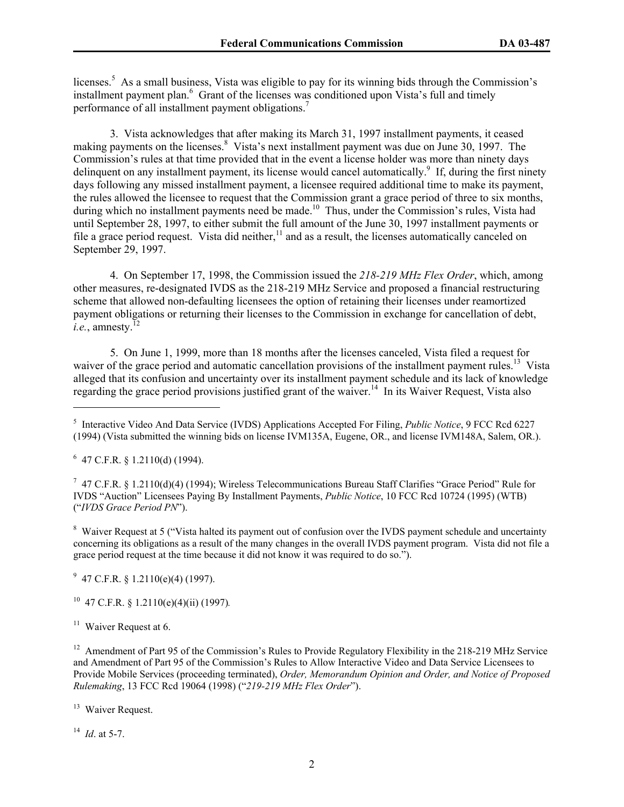licenses.<sup>5</sup> As a small business, Vista was eligible to pay for its winning bids through the Commission's installment payment plan.<sup>6</sup> Grant of the licenses was conditioned upon Vista's full and timely performance of all installment payment obligations.<sup>7</sup>

3. Vista acknowledges that after making its March 31, 1997 installment payments, it ceased making payments on the licenses.<sup>8</sup> Vista's next installment payment was due on June 30, 1997. The Commission's rules at that time provided that in the event a license holder was more than ninety days delinquent on any installment payment, its license would cancel automatically.<sup>9</sup> If, during the first ninety days following any missed installment payment, a licensee required additional time to make its payment, the rules allowed the licensee to request that the Commission grant a grace period of three to six months, during which no installment payments need be made.<sup>10</sup> Thus, under the Commission's rules, Vista had until September 28, 1997, to either submit the full amount of the June 30, 1997 installment payments or file a grace period request. Vista did neither, $11$  and as a result, the licenses automatically canceled on September 29, 1997.

4. On September 17, 1998, the Commission issued the *218-219 MHz Flex Order*, which, among other measures, re-designated IVDS as the 218-219 MHz Service and proposed a financial restructuring scheme that allowed non-defaulting licensees the option of retaining their licenses under reamortized payment obligations or returning their licenses to the Commission in exchange for cancellation of debt, *i.e.*, amnesty.<sup>12</sup>

5. On June 1, 1999, more than 18 months after the licenses canceled, Vista filed a request for waiver of the grace period and automatic cancellation provisions of the installment payment rules.<sup>13</sup> Vista alleged that its confusion and uncertainty over its installment payment schedule and its lack of knowledge regarding the grace period provisions justified grant of the waiver.<sup>14</sup> In its Waiver Request, Vista also

 $6$  47 C.F.R. § 1.2110(d) (1994).

 $\overline{a}$ 

<sup>7</sup> 47 C.F.R. § 1.2110(d)(4) (1994); Wireless Telecommunications Bureau Staff Clarifies "Grace Period" Rule for IVDS "Auction" Licensees Paying By Installment Payments, *Public Notice*, 10 FCC Rcd 10724 (1995) (WTB) ("*IVDS Grace Period PN*").

<sup>8</sup> Waiver Request at 5 ("Vista halted its payment out of confusion over the IVDS payment schedule and uncertainty concerning its obligations as a result of the many changes in the overall IVDS payment program. Vista did not file a grace period request at the time because it did not know it was required to do so.").

 $9\,$  47 C.F.R. § 1.2110(e)(4) (1997).

10 47 C.F.R. § 1.2110(e)(4)(ii) (1997)*.* 

<sup>12</sup> Amendment of Part 95 of the Commission's Rules to Provide Regulatory Flexibility in the 218-219 MHz Service and Amendment of Part 95 of the Commission's Rules to Allow Interactive Video and Data Service Licensees to Provide Mobile Services (proceeding terminated), *Order, Memorandum Opinion and Order, and Notice of Proposed Rulemaking*, 13 FCC Rcd 19064 (1998) ("*219-219 MHz Flex Order*").

<sup>13</sup> Waiver Request.

14 *Id*. at 5-7.

<sup>5</sup> Interactive Video And Data Service (IVDS) Applications Accepted For Filing, *Public Notice*, 9 FCC Rcd 6227 (1994) (Vista submitted the winning bids on license IVM135A, Eugene, OR., and license IVM148A, Salem, OR.).

 $11$  Waiver Request at 6.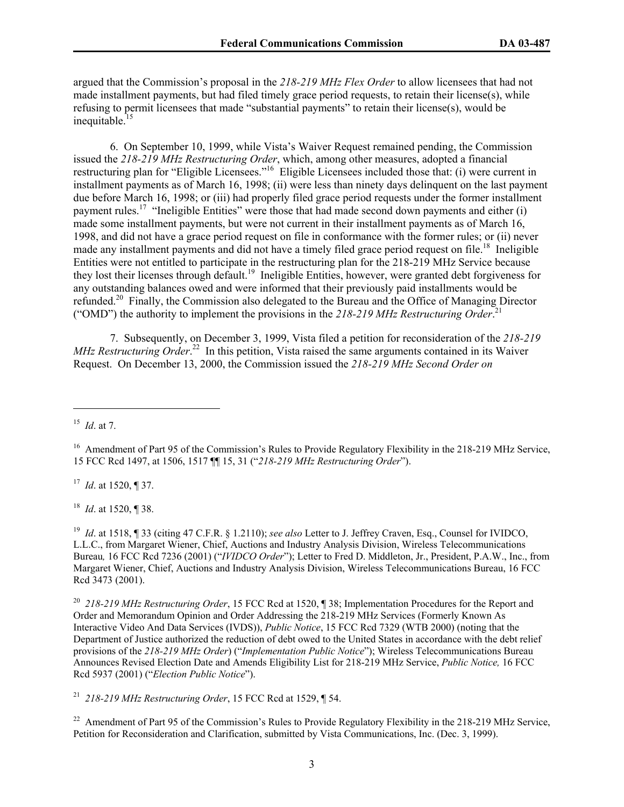argued that the Commission's proposal in the *218-219 MHz Flex Order* to allow licensees that had not made installment payments, but had filed timely grace period requests, to retain their license(s), while refusing to permit licensees that made "substantial payments" to retain their license(s), would be inequitable. $15$ 

 6. On September 10, 1999, while Vista's Waiver Request remained pending, the Commission issued the *218-219 MHz Restructuring Order*, which, among other measures, adopted a financial restructuring plan for "Eligible Licensees."<sup>16</sup> Eligible Licensees included those that: (i) were current in installment payments as of March 16, 1998; (ii) were less than ninety days delinquent on the last payment due before March 16, 1998; or (iii) had properly filed grace period requests under the former installment payment rules.<sup>17</sup> "Ineligible Entities" were those that had made second down payments and either (i) made some installment payments, but were not current in their installment payments as of March 16, 1998, and did not have a grace period request on file in conformance with the former rules; or (ii) never made any installment payments and did not have a timely filed grace period request on file.<sup>18</sup> Ineligible Entities were not entitled to participate in the restructuring plan for the 218-219 MHz Service because they lost their licenses through default.19 Ineligible Entities, however, were granted debt forgiveness for any outstanding balances owed and were informed that their previously paid installments would be refunded.<sup>20</sup> Finally, the Commission also delegated to the Bureau and the Office of Managing Director ("OMD") the authority to implement the provisions in the *218-219 MHz Restructuring Order*. 21

 7. Subsequently, on December 3, 1999, Vista filed a petition for reconsideration of the *218-219 MHz Restructuring Order*. 22 In this petition, Vista raised the same arguments contained in its Waiver Request. On December 13, 2000, the Commission issued the *218-219 MHz Second Order on* 

 $\overline{a}$ 

17 *Id*. at 1520, ¶ 37.

<sup>18</sup> *Id*. at 1520, ¶ 38.

<sup>19</sup> *Id*. at 1518, ¶ 33 (citing 47 C.F.R. § 1.2110); *see also* Letter to J. Jeffrey Craven, Esq., Counsel for IVIDCO, L.L.C., from Margaret Wiener, Chief, Auctions and Industry Analysis Division, Wireless Telecommunications Bureau*,* 16 FCC Rcd 7236 (2001) ("*IVIDCO Order*"); Letter to Fred D. Middleton, Jr., President, P.A.W., Inc., from Margaret Wiener, Chief, Auctions and Industry Analysis Division, Wireless Telecommunications Bureau, 16 FCC Rcd 3473 (2001).

<sup>20</sup> *218-219 MHz Restructuring Order*, 15 FCC Rcd at 1520, ¶ 38; Implementation Procedures for the Report and Order and Memorandum Opinion and Order Addressing the 218-219 MHz Services (Formerly Known As Interactive Video And Data Services (IVDS)), *Public Notice*, 15 FCC Rcd 7329 (WTB 2000) (noting that the Department of Justice authorized the reduction of debt owed to the United States in accordance with the debt relief provisions of the *218-219 MHz Order*) ("*Implementation Public Notice*"); Wireless Telecommunications Bureau Announces Revised Election Date and Amends Eligibility List for 218-219 MHz Service, *Public Notice,* 16 FCC Rcd 5937 (2001) ("*Election Public Notice*").

<sup>21</sup> *218-219 MHz Restructuring Order*, 15 FCC Rcd at 1529, ¶ 54.

<sup>22</sup> Amendment of Part 95 of the Commission's Rules to Provide Regulatory Flexibility in the 218-219 MHz Service, Petition for Reconsideration and Clarification, submitted by Vista Communications, Inc. (Dec. 3, 1999).

<sup>15</sup> *Id*. at 7.

<sup>&</sup>lt;sup>16</sup> Amendment of Part 95 of the Commission's Rules to Provide Regulatory Flexibility in the 218-219 MHz Service, 15 FCC Rcd 1497, at 1506, 1517 ¶¶ 15, 31 ("*218-219 MHz Restructuring Order*").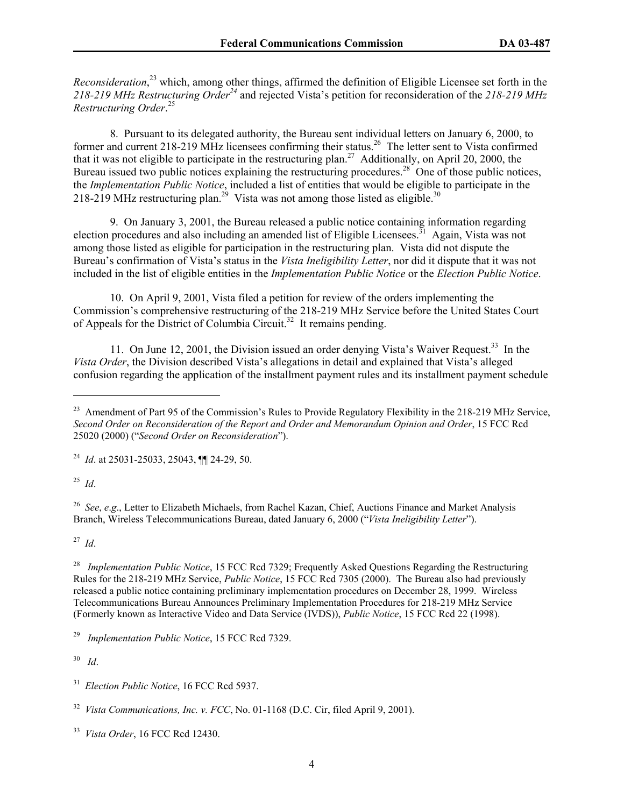*Reconsideration*, 23 which, among other things, affirmed the definition of Eligible Licensee set forth in the *218-219 MHz Restructuring Order<sup>24</sup>* and rejected Vista's petition for reconsideration of the *218-219 MHz Restructuring Order*. 25

 8. Pursuant to its delegated authority, the Bureau sent individual letters on January 6, 2000, to former and current 218-219 MHz licensees confirming their status.26 The letter sent to Vista confirmed that it was not eligible to participate in the restructuring plan.<sup>27</sup> Additionally, on April 20, 2000, the Bureau issued two public notices explaining the restructuring procedures.<sup>28</sup> One of those public notices, the *Implementation Public Notice*, included a list of entities that would be eligible to participate in the 218-219 MHz restructuring plan.<sup>29</sup> Vista was not among those listed as eligible.<sup>30</sup>

 9. On January 3, 2001, the Bureau released a public notice containing information regarding election procedures and also including an amended list of Eligible Licensees.<sup>31</sup> Again, Vista was not among those listed as eligible for participation in the restructuring plan. Vista did not dispute the Bureau's confirmation of Vista's status in the *Vista Ineligibility Letter*, nor did it dispute that it was not included in the list of eligible entities in the *Implementation Public Notice* or the *Election Public Notice*.

 10. On April 9, 2001, Vista filed a petition for review of the orders implementing the Commission's comprehensive restructuring of the 218-219 MHz Service before the United States Court of Appeals for the District of Columbia Circuit.<sup>32</sup> It remains pending.

11. On June 12, 2001, the Division issued an order denying Vista's Waiver Request.<sup>33</sup> In the *Vista Order*, the Division described Vista's allegations in detail and explained that Vista's alleged confusion regarding the application of the installment payment rules and its installment payment schedule

<sup>25</sup> *Id*.

 $\overline{a}$ 

<sup>26</sup> *See*, *e.g.*, Letter to Elizabeth Michaels, from Rachel Kazan, Chief, Auctions Finance and Market Analysis Branch, Wireless Telecommunications Bureau, dated January 6, 2000 ("*Vista Ineligibility Letter*").

<sup>27</sup> *Id*.

<sup>28</sup> *Implementation Public Notice*, 15 FCC Rcd 7329; Frequently Asked Questions Regarding the Restructuring Rules for the 218-219 MHz Service, *Public Notice*, 15 FCC Rcd 7305 (2000). The Bureau also had previously released a public notice containing preliminary implementation procedures on December 28, 1999. Wireless Telecommunications Bureau Announces Preliminary Implementation Procedures for 218-219 MHz Service (Formerly known as Interactive Video and Data Service (IVDS)), *Public Notice*, 15 FCC Rcd 22 (1998).

<sup>29</sup> *Implementation Public Notice*, 15 FCC Rcd 7329.

<sup>30</sup> *Id*.

<sup>31</sup> *Election Public Notice*, 16 FCC Rcd 5937.

33 *Vista Order*, 16 FCC Rcd 12430.

<sup>&</sup>lt;sup>23</sup> Amendment of Part 95 of the Commission's Rules to Provide Regulatory Flexibility in the 218-219 MHz Service, *Second Order on Reconsideration of the Report and Order and Memorandum Opinion and Order*, 15 FCC Rcd 25020 (2000) ("*Second Order on Reconsideration*").

<sup>24</sup> *Id*. at 25031-25033, 25043, ¶¶ 24-29, 50.

<sup>32</sup> *Vista Communications, Inc. v. FCC*, No. 01-1168 (D.C. Cir, filed April 9, 2001).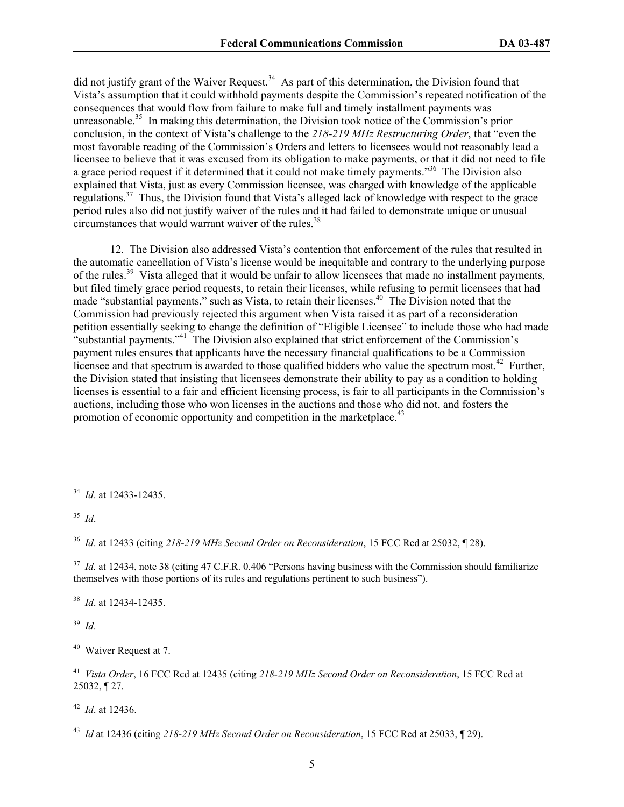did not justify grant of the Waiver Request.<sup>34</sup> As part of this determination, the Division found that Vista's assumption that it could withhold payments despite the Commission's repeated notification of the consequences that would flow from failure to make full and timely installment payments was unreasonable.<sup>35</sup> In making this determination, the Division took notice of the Commission's prior conclusion, in the context of Vista's challenge to the *218-219 MHz Restructuring Order*, that "even the most favorable reading of the Commission's Orders and letters to licensees would not reasonably lead a licensee to believe that it was excused from its obligation to make payments, or that it did not need to file a grace period request if it determined that it could not make timely payments."<sup>36</sup> The Division also explained that Vista, just as every Commission licensee, was charged with knowledge of the applicable regulations.37 Thus, the Division found that Vista's alleged lack of knowledge with respect to the grace period rules also did not justify waiver of the rules and it had failed to demonstrate unique or unusual circumstances that would warrant waiver of the rules. $38$ 

12. The Division also addressed Vista's contention that enforcement of the rules that resulted in the automatic cancellation of Vista's license would be inequitable and contrary to the underlying purpose of the rules.39 Vista alleged that it would be unfair to allow licensees that made no installment payments, but filed timely grace period requests, to retain their licenses, while refusing to permit licensees that had made "substantial payments," such as Vista, to retain their licenses.<sup>40</sup> The Division noted that the Commission had previously rejected this argument when Vista raised it as part of a reconsideration petition essentially seeking to change the definition of "Eligible Licensee" to include those who had made "substantial payments."<sup>41</sup> The Division also explained that strict enforcement of the Commission's payment rules ensures that applicants have the necessary financial qualifications to be a Commission licensee and that spectrum is awarded to those qualified bidders who value the spectrum most.<sup>42</sup> Further, the Division stated that insisting that licensees demonstrate their ability to pay as a condition to holding licenses is essential to a fair and efficient licensing process, is fair to all participants in the Commission's auctions, including those who won licenses in the auctions and those who did not, and fosters the promotion of economic opportunity and competition in the marketplace.<sup>43</sup>

<sup>35</sup> *Id*.

 $\overline{a}$ 

<sup>36</sup> *Id*. at 12433 (citing *218-219 MHz Second Order on Reconsideration*, 15 FCC Rcd at 25032, ¶ 28).

<sup>37</sup> *Id.* at 12434, note 38 (citing 47 C.F.R. 0.406 "Persons having business with the Commission should familiarize themselves with those portions of its rules and regulations pertinent to such business").

38 *Id*. at 12434-12435.

39 *Id*.

<sup>40</sup>Waiver Request at 7.

<sup>41</sup> *Vista Order*, 16 FCC Rcd at 12435 (citing *218-219 MHz Second Order on Reconsideration*, 15 FCC Rcd at 25032, ¶ 27.

<sup>42</sup> *Id*. at 12436.

43 *Id* at 12436 (citing *218-219 MHz Second Order on Reconsideration*, 15 FCC Rcd at 25033, ¶ 29).

<sup>34</sup> *Id*. at 12433-12435.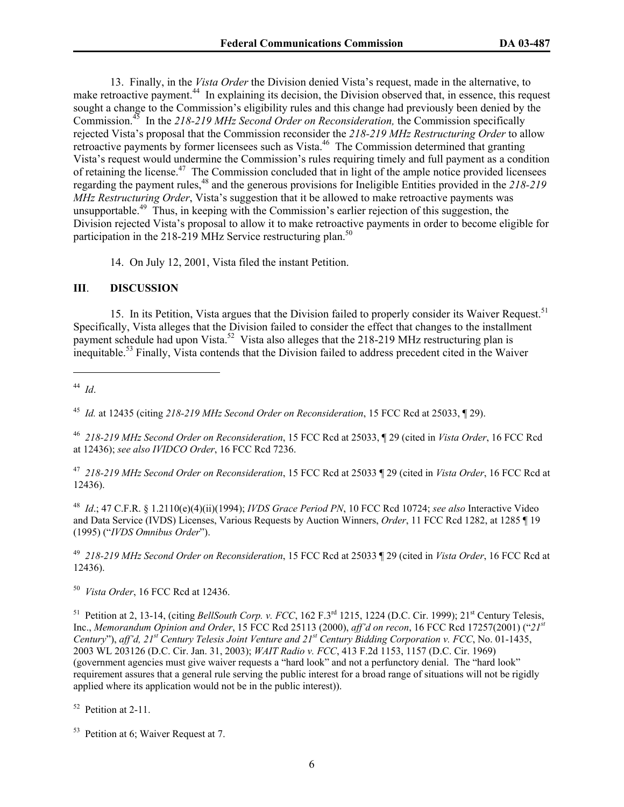13. Finally, in the *Vista Order* the Division denied Vista's request, made in the alternative, to make retroactive payment.<sup>44</sup> In explaining its decision, the Division observed that, in essence, this request sought a change to the Commission's eligibility rules and this change had previously been denied by the Commission.45 In the *218-219 MHz Second Order on Reconsideration,* the Commission specifically rejected Vista's proposal that the Commission reconsider the *218-219 MHz Restructuring Order* to allow retroactive payments by former licensees such as Vista.<sup>46</sup> The Commission determined that granting Vista's request would undermine the Commission's rules requiring timely and full payment as a condition of retaining the license.<sup>47</sup> The Commission concluded that in light of the ample notice provided licensees regarding the payment rules,<sup>48</sup> and the generous provisions for Ineligible Entities provided in the 218-219 <sup>r</sup> *MHz Restructuring Order*, Vista's suggestion that it be allowed to make retroactive payments was unsupportable.<sup>49</sup> Thus, in keeping with the Commission's earlier rejection of this suggestion, the Division rejected Vista's proposal to allow it to make retroactive payments in order to become eligible for participation in the 218-219 MHz Service restructuring plan.<sup>50</sup>

14. On July 12, 2001, Vista filed the instant Petition.

## **III**. **DISCUSSION**

15. In its Petition, Vista argues that the Division failed to properly consider its Waiver Request.<sup>51</sup> Specifically, Vista alleges that the Division failed to consider the effect that changes to the installment payment schedule had upon Vista.<sup>52</sup> Vista also alleges that the 218-219 MHz restructuring plan is inequitable.<sup>53</sup> Finally, Vista contends that the Division failed to address precedent cited in the Waiver

<sup>44</sup> *Id*.

 $\overline{a}$ 

<sup>45</sup> *Id.* at 12435 (citing *218-219 MHz Second Order on Reconsideration*, 15 FCC Rcd at 25033, ¶ 29).

<sup>46</sup> *218-219 MHz Second Order on Reconsideration*, 15 FCC Rcd at 25033, ¶ 29 (cited in *Vista Order*, 16 FCC Rcd at 12436); *see also IVIDCO Order*, 16 FCC Rcd 7236.

47 *218-219 MHz Second Order on Reconsideration*, 15 FCC Rcd at 25033 ¶ 29 (cited in *Vista Order*, 16 FCC Rcd at 12436).

<sup>48</sup> *Id*.; 47 C.F.R. § 1.2110(e)(4)(ii)(1994); *IVDS Grace Period PN*, 10 FCC Rcd 10724; *see also* Interactive Video and Data Service (IVDS) Licenses, Various Requests by Auction Winners, *Order*, 11 FCC Rcd 1282, at 1285 ¶ 19 (1995) ("*IVDS Omnibus Order*").

49 *218-219 MHz Second Order on Reconsideration*, 15 FCC Rcd at 25033 ¶ 29 (cited in *Vista Order*, 16 FCC Rcd at 12436).

<sup>50</sup> *Vista Order*, 16 FCC Rcd at 12436.

<sup>51</sup> Petition at 2, 13-14, (citing *BellSouth Corp. v. FCC*, 162 F.3<sup>rd</sup> 1215, 1224 (D.C. Cir. 1999); 21<sup>st</sup> Century Telesis, Inc., *Memorandum Opinion and Order*, 15 FCC Rcd 25113 (2000), *aff'd on recon*, 16 FCC Rcd 17257(2001) ("*21st Century*"), *aff'd, 21st Century Telesis Joint Venture and 21st Century Bidding Corporation v. FCC*, No. 01-1435, 2003 WL 203126 (D.C. Cir. Jan. 31, 2003); *WAIT Radio v. FCC*, 413 F.2d 1153, 1157 (D.C. Cir. 1969) (government agencies must give waiver requests a "hard look" and not a perfunctory denial. The "hard look" requirement assures that a general rule serving the public interest for a broad range of situations will not be rigidly applied where its application would not be in the public interest)).

 $52$  Petition at 2-11.

<sup>53</sup> Petition at 6; Waiver Request at 7.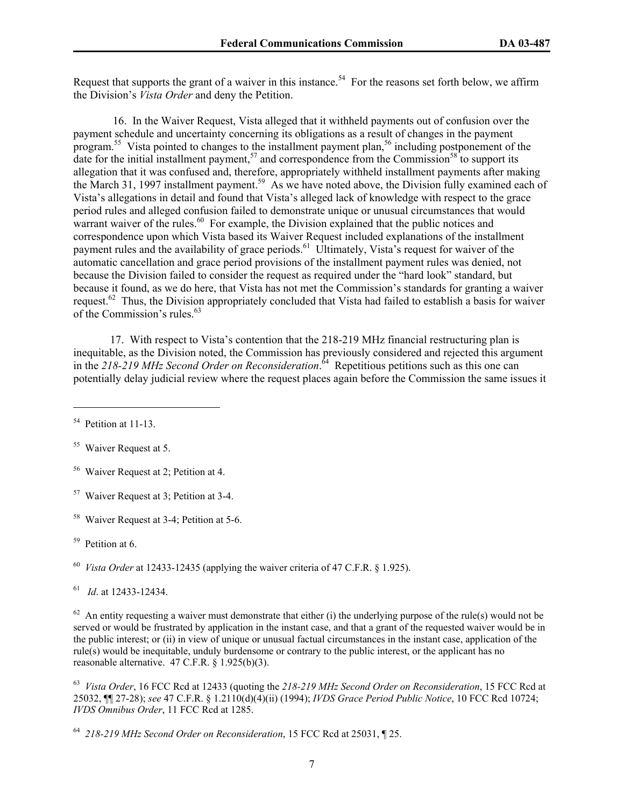Request that supports the grant of a waiver in this instance.<sup>54</sup> For the reasons set forth below, we affirm the Division's *Vista Order* and deny the Petition.

 16. In the Waiver Request, Vista alleged that it withheld payments out of confusion over the payment schedule and uncertainty concerning its obligations as a result of changes in the payment program.<sup>55</sup> Vista pointed to changes to the installment payment plan,<sup>56</sup> including postponement of the date for the initial installment payment,<sup>57</sup> and correspondence from the Commission<sup>58</sup> to support its allegation that it was confused and, therefore, appropriately withheld installment payments after making the March 31, 1997 installment payment.<sup>59</sup> As we have noted above, the Division fully examined each of Vista's allegations in detail and found that Vista's alleged lack of knowledge with respect to the grace period rules and alleged confusion failed to demonstrate unique or unusual circumstances that would warrant waiver of the rules. $^{60}$  For example, the Division explained that the public notices and correspondence upon which Vista based its Waiver Request included explanations of the installment payment rules and the availability of grace periods.<sup>61</sup> Ultimately, Vista's request for waiver of the automatic cancellation and grace period provisions of the installment payment rules was denied, not because the Division failed to consider the request as required under the "hard look" standard, but because it found, as we do here, that Vista has not met the Commission's standards for granting a waiver request.<sup>62</sup> Thus, the Division appropriately concluded that Vista had failed to establish a basis for waiver of the Commission's rules.<sup>63</sup>

17. With respect to Vista's contention that the 218-219 MHz financial restructuring plan is inequitable, as the Division noted, the Commission has previously considered and rejected this argument in the *218-219 MHz Second Order on Reconsideration*. 64 Repetitious petitions such as this one can potentially delay judicial review where the request places again before the Commission the same issues it

 $\overline{a}$ 

 $62$  An entity requesting a waiver must demonstrate that either (i) the underlying purpose of the rule(s) would not be served or would be frustrated by application in the instant case, and that a grant of the requested waiver would be in the public interest; or (ii) in view of unique or unusual factual circumstances in the instant case, application of the rule(s) would be inequitable, unduly burdensome or contrary to the public interest, or the applicant has no reasonable alternative. 47 C.F.R. § 1.925(b)(3).

<sup>63</sup> *Vista Order*, 16 FCC Rcd at 12433 (quoting the *218-219 MHz Second Order on Reconsideration*, 15 FCC Rcd at 25032, ¶¶ 27-28); *see* 47 C.F.R. § 1.2110(d)(4)(ii) (1994); *IVDS Grace Period Public Notice*, 10 FCC Rcd 10724; *IVDS Omnibus Order*, 11 FCC Rcd at 1285.

<sup>&</sup>lt;sup>54</sup> Petition at 11-13.

<sup>&</sup>lt;sup>55</sup> Waiver Request at 5.

<sup>56</sup> Waiver Request at 2; Petition at 4.

<sup>57</sup> Waiver Request at 3; Petition at 3-4.

<sup>58</sup> Waiver Request at 3-4; Petition at 5-6.

<sup>59</sup> Petition at 6.

<sup>60</sup> *Vista Order* at 12433-12435 (applying the waiver criteria of 47 C.F.R. § 1.925).

<sup>61</sup> *Id*. at 12433-12434.

<sup>64</sup> *218-219 MHz Second Order on Reconsideration*, 15 FCC Rcd at 25031, ¶ 25.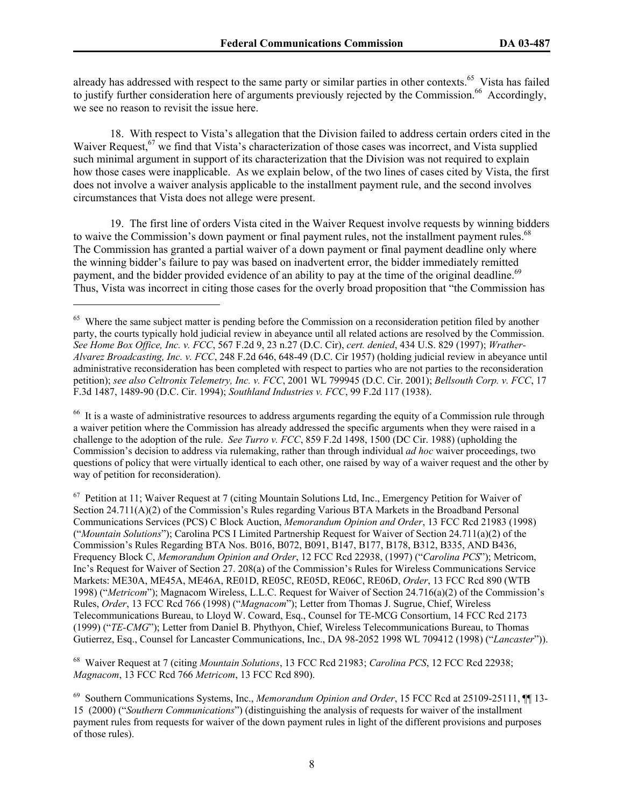already has addressed with respect to the same party or similar parties in other contexts.<sup>65</sup> Vista has failed to justify further consideration here of arguments previously rejected by the Commission.<sup>66</sup> Accordingly, we see no reason to revisit the issue here.

18. With respect to Vista's allegation that the Division failed to address certain orders cited in the Waiver Request,<sup>67</sup> we find that Vista's characterization of those cases was incorrect, and Vista supplied such minimal argument in support of its characterization that the Division was not required to explain how those cases were inapplicable. As we explain below, of the two lines of cases cited by Vista, the first does not involve a waiver analysis applicable to the installment payment rule, and the second involves circumstances that Vista does not allege were present.

19. The first line of orders Vista cited in the Waiver Request involve requests by winning bidders to waive the Commission's down payment or final payment rules, not the installment payment rules.<sup>68</sup> The Commission has granted a partial waiver of a down payment or final payment deadline only where the winning bidder's failure to pay was based on inadvertent error, the bidder immediately remitted payment, and the bidder provided evidence of an ability to pay at the time of the original deadline.<sup>69</sup> Thus, Vista was incorrect in citing those cases for the overly broad proposition that "the Commission has

 $\overline{a}$ 

<sup>66</sup> It is a waste of administrative resources to address arguments regarding the equity of a Commission rule through a waiver petition where the Commission has already addressed the specific arguments when they were raised in a challenge to the adoption of the rule. *See Turro v. FCC*, 859 F.2d 1498, 1500 (DC Cir. 1988) (upholding the Commission's decision to address via rulemaking, rather than through individual *ad hoc* waiver proceedings, two questions of policy that were virtually identical to each other, one raised by way of a waiver request and the other by way of petition for reconsideration).

 $67$  Petition at 11; Waiver Request at 7 (citing Mountain Solutions Ltd, Inc., Emergency Petition for Waiver of Section 24.711(A)(2) of the Commission's Rules regarding Various BTA Markets in the Broadband Personal Communications Services (PCS) C Block Auction, *Memorandum Opinion and Order*, 13 FCC Rcd 21983 (1998) ("*Mountain Solutions*"); Carolina PCS I Limited Partnership Request for Waiver of Section 24.711(a)(2) of the Commission's Rules Regarding BTA Nos. B016, B072, B091, B147, B177, B178, B312, B335, AND B436, Frequency Block C, *Memorandum Opinion and Order*, 12 FCC Rcd 22938, (1997) ("*Carolina PCS*"); Metricom, Inc's Request for Waiver of Section 27. 208(a) of the Commission's Rules for Wireless Communications Service Markets: ME30A, ME45A, ME46A, RE01D, RE05C, RE05D, RE06C, RE06D, *Order*, 13 FCC Rcd 890 (WTB 1998) ("*Metricom*"); Magnacom Wireless, L.L.C. Request for Waiver of Section 24.716(a)(2) of the Commission's Rules, *Order*, 13 FCC Rcd 766 (1998) ("*Magnacom*"); Letter from Thomas J. Sugrue, Chief, Wireless Telecommunications Bureau, to Lloyd W. Coward, Esq., Counsel for TE-MCG Consortium, 14 FCC Rcd 2173 (1999) ("*TE-CMG*"); Letter from Daniel B. Phythyon, Chief, Wireless Telecommunications Bureau, to Thomas Gutierrez, Esq., Counsel for Lancaster Communications, Inc., DA 98-2052 1998 WL 709412 (1998) ("*Lancaster*")).

68 Waiver Request at 7 (citing *Mountain Solutions*, 13 FCC Rcd 21983; *Carolina PCS*, 12 FCC Rcd 22938; *Magnacom*, 13 FCC Rcd 766 *Metricom*, 13 FCC Rcd 890).

<sup>&</sup>lt;sup>65</sup> Where the same subject matter is pending before the Commission on a reconsideration petition filed by another party, the courts typically hold judicial review in abeyance until all related actions are resolved by the Commission. *See Home Box Office, Inc. v. FCC*, 567 F.2d 9, 23 n.27 (D.C. Cir), *cert. denied*, 434 U.S. 829 (1997); *Wrather-Alvarez Broadcasting, Inc. v. FCC*, 248 F.2d 646, 648-49 (D.C. Cir 1957) (holding judicial review in abeyance until administrative reconsideration has been completed with respect to parties who are not parties to the reconsideration petition); *see also Celtronix Telemetry, Inc. v. FCC*, 2001 WL 799945 (D.C. Cir. 2001); *Bellsouth Corp. v. FCC*, 17 F.3d 1487, 1489-90 (D.C. Cir. 1994); *Southland Industries v. FCC*, 99 F.2d 117 (1938).

<sup>69</sup> Southern Communications Systems, Inc., *Memorandum Opinion and Order*, 15 FCC Rcd at 25109-25111, ¶¶ 13- 15 (2000) ("*Southern Communications*") (distinguishing the analysis of requests for waiver of the installment payment rules from requests for waiver of the down payment rules in light of the different provisions and purposes of those rules).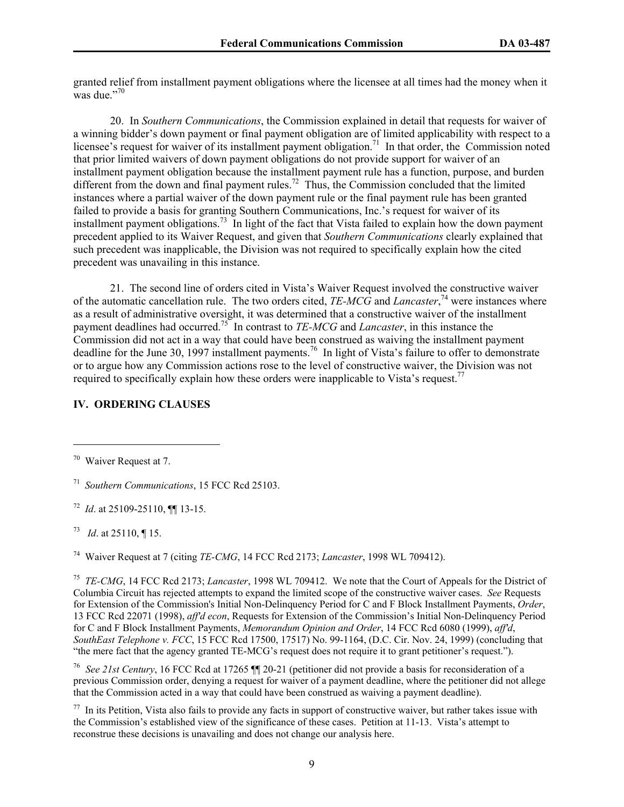granted relief from installment payment obligations where the licensee at all times had the money when it was due."70

20. In *Southern Communications*, the Commission explained in detail that requests for waiver of a winning bidder's down payment or final payment obligation are of limited applicability with respect to a licensee's request for waiver of its installment payment obligation.<sup>71</sup> In that order, the Commission noted that prior limited waivers of down payment obligations do not provide support for waiver of an installment payment obligation because the installment payment rule has a function, purpose, and burden different from the down and final payment rules.<sup>72</sup> Thus, the Commission concluded that the limited instances where a partial waiver of the down payment rule or the final payment rule has been granted failed to provide a basis for granting Southern Communications, Inc.'s request for waiver of its installment payment obligations.73 In light of the fact that Vista failed to explain how the down payment precedent applied to its Waiver Request, and given that *Southern Communications* clearly explained that such precedent was inapplicable, the Division was not required to specifically explain how the cited precedent was unavailing in this instance.

21. The second line of orders cited in Vista's Waiver Request involved the constructive waiver of the automatic cancellation rule. The two orders cited, *TE-MCG* and *Lancaster*, 74 were instances where as a result of administrative oversight, it was determined that a constructive waiver of the installment payment deadlines had occurred.75 In contrast to *TE-MCG* and *Lancaster*, in this instance the Commission did not act in a way that could have been construed as waiving the installment payment deadline for the June 30, 1997 installment payments.<sup>76</sup> In light of Vista's failure to offer to demonstrate or to argue how any Commission actions rose to the level of constructive waiver, the Division was not required to specifically explain how these orders were inapplicable to Vista's request.<sup>77</sup>

## **IV. ORDERING CLAUSES**

 $\overline{a}$ 

73 *Id*. at 25110, ¶ 15.

74 Waiver Request at 7 (citing *TE-CMG*, 14 FCC Rcd 2173; *Lancaster*, 1998 WL 709412).

<sup>75</sup> *TE-CMG*, 14 FCC Rcd 2173; *Lancaster*, 1998 WL 709412. We note that the Court of Appeals for the District of Columbia Circuit has rejected attempts to expand the limited scope of the constructive waiver cases. *See* Requests for Extension of the Commission's Initial Non-Delinquency Period for C and F Block Installment Payments, *Order*, 13 FCC Rcd 22071 (1998), *aff'd econ*, Requests for Extension of the Commission's Initial Non-Delinquency Period for C and F Block Installment Payments, *Memorandum Opinion and Order*, 14 FCC Rcd 6080 (1999), *aff'd*, *SouthEast Telephone v. FCC*, 15 FCC Rcd 17500, 17517) No. 99-1164, (D.C. Cir. Nov. 24, 1999) (concluding that "the mere fact that the agency granted TE-MCG's request does not require it to grant petitioner's request.").

76 *See 21st Century*, 16 FCC Rcd at 17265 ¶¶ 20-21 (petitioner did not provide a basis for reconsideration of a previous Commission order, denying a request for waiver of a payment deadline, where the petitioner did not allege that the Commission acted in a way that could have been construed as waiving a payment deadline).

 $77$  In its Petition, Vista also fails to provide any facts in support of constructive waiver, but rather takes issue with the Commission's established view of the significance of these cases. Petition at 11-13. Vista's attempt to reconstrue these decisions is unavailing and does not change our analysis here.

<sup>70</sup>Waiver Request at 7.

<sup>71</sup> *Southern Communications*, 15 FCC Rcd 25103.

<sup>72</sup> *Id*. at 25109-25110, ¶¶ 13-15.